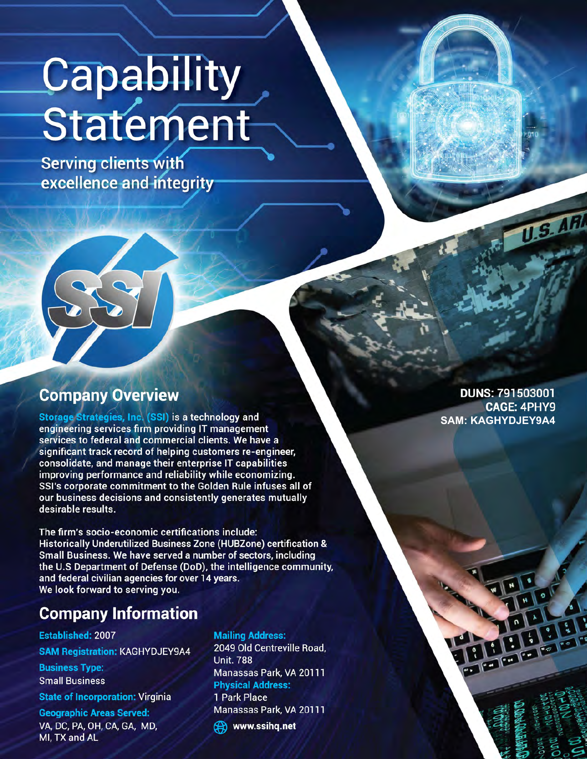# Capability<br>Statement

**Serving clients with** excellence and integrity

## **Company Overview**

Storage Strategies, Inc. (SSI) is a technology and engineering services firm providing IT management services to federal and commercial clients. We have a significant track record of helping customers re-engineer, consolidate, and manage their enterprise IT capabilities improving performance and reliability while economizing. SSI's corporate commitment to the Golden Rule infuses all of our business decisions and consistently generates mutually desirable results.

The firm's socio-economic certifications include: Historically Underutilized Business Zone (HUBZone) certification & Small Business. We have served a number of sectors, including the U.S Department of Defense (DoD), the intelligence community, and federal civilian agencies for over 14 years. We look forward to serving you.

# **Company Information**

#### **Established: 2007**

**SAM Registration: KAGHYDJEY9A4** 

**Business Type: Small Business** 

**State of Incorporation: Virginia** 

**Geographic Areas Served:** VA, DC, PA, OH, CA, GA, MD, MI, TX and AL

#### **Mailing Address:**

2049 Old Centreville Road, **Unit. 788** Manassas Park, VA 20111 **Physical Address:** 1 Park Place

Manassas Park, VA 20111

**B** www.ssihq.net

**DUNS: 791503001 CAGE: 4PHY9 SAM: KAGHYDJEY9A4** 

**U.S. AR**